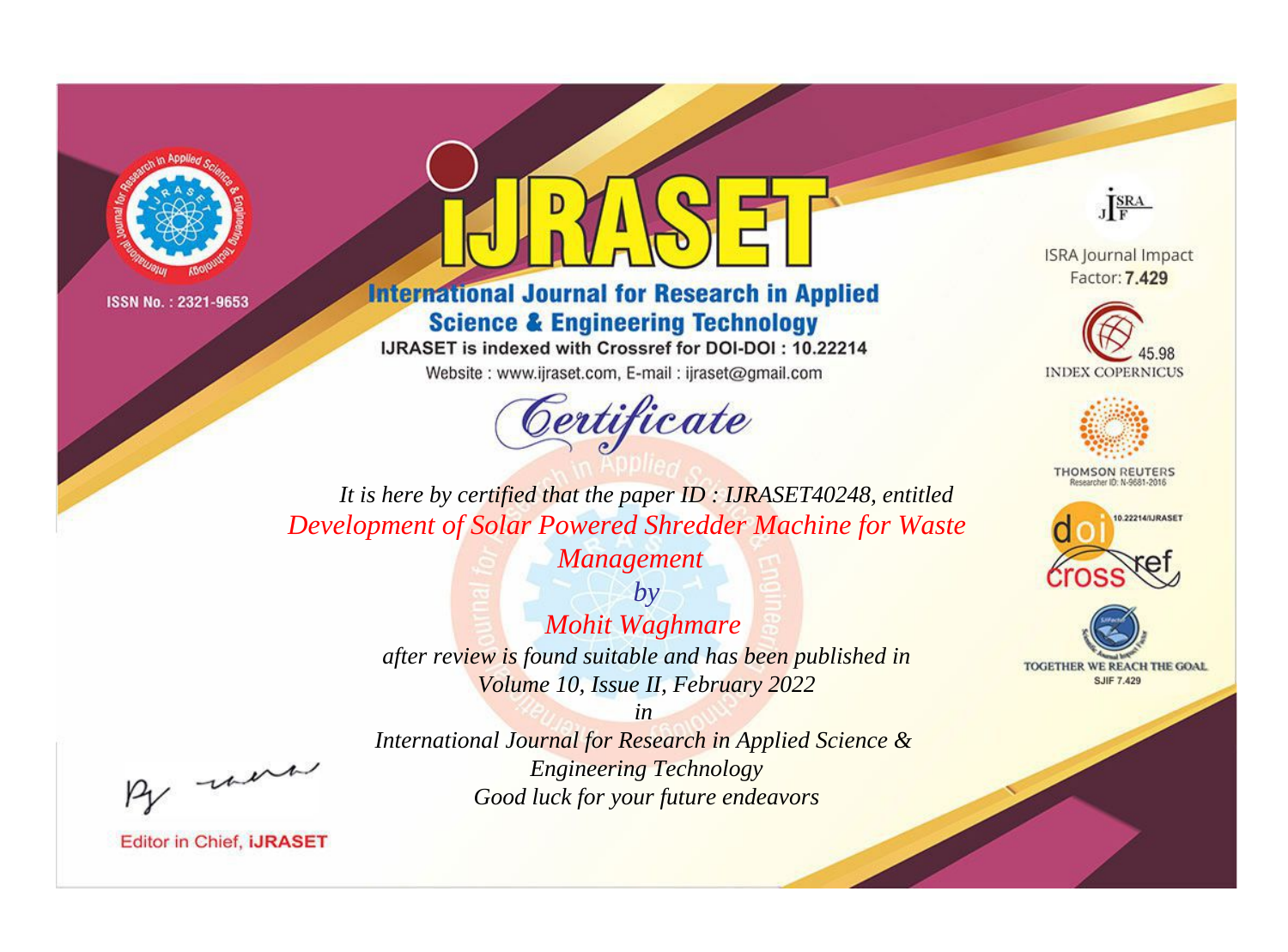



# **International Journal for Research in Applied Science & Engineering Technology**

IJRASET is indexed with Crossref for DOI-DOI: 10.22214

Website: www.ijraset.com, E-mail: ijraset@gmail.com



JERA

**ISRA Journal Impact** Factor: 7.429





**THOMSON REUTERS** 



TOGETHER WE REACH THE GOAL **SJIF 7.429** 

*It is here by certified that the paper ID : IJRASET40248, entitled Development of Solar Powered Shredder Machine for Waste* 

*Management*

*by Mohit Waghmare after review is found suitable and has been published in Volume 10, Issue II, February 2022*

, un

*International Journal for Research in Applied Science & Engineering Technology Good luck for your future endeavors*

*in*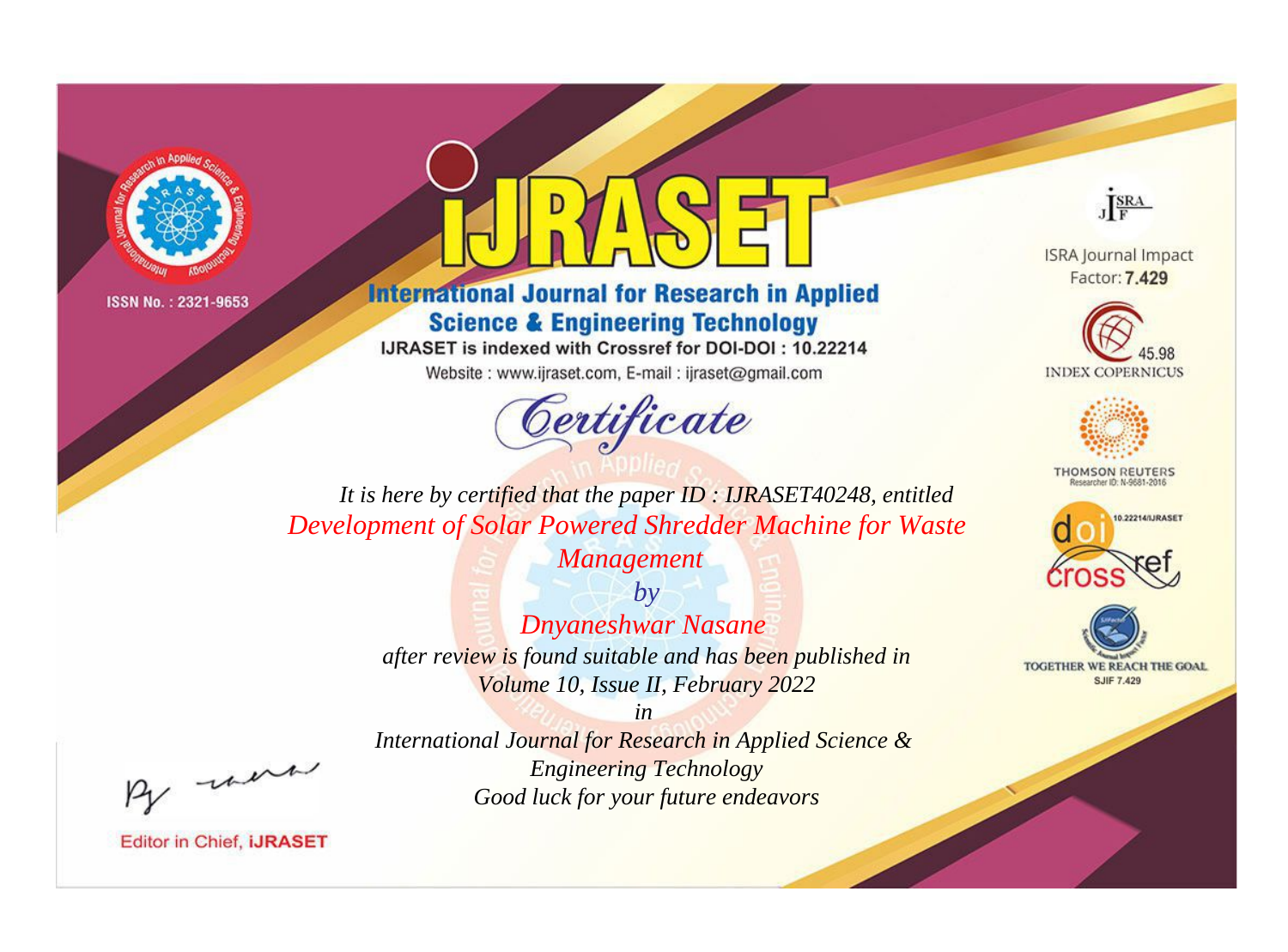



# **International Journal for Research in Applied Science & Engineering Technology**

IJRASET is indexed with Crossref for DOI-DOI: 10.22214

Website: www.ijraset.com, E-mail: ijraset@gmail.com



JERA

**ISRA Journal Impact** Factor: 7.429





**THOMSON REUTERS** 



TOGETHER WE REACH THE GOAL **SJIF 7.429** 

*It is here by certified that the paper ID : IJRASET40248, entitled Development of Solar Powered Shredder Machine for Waste* 

> *Management by*

*Dnyaneshwar Nasane after review is found suitable and has been published in Volume 10, Issue II, February 2022*

, un

*International Journal for Research in Applied Science & Engineering Technology Good luck for your future endeavors*

*in*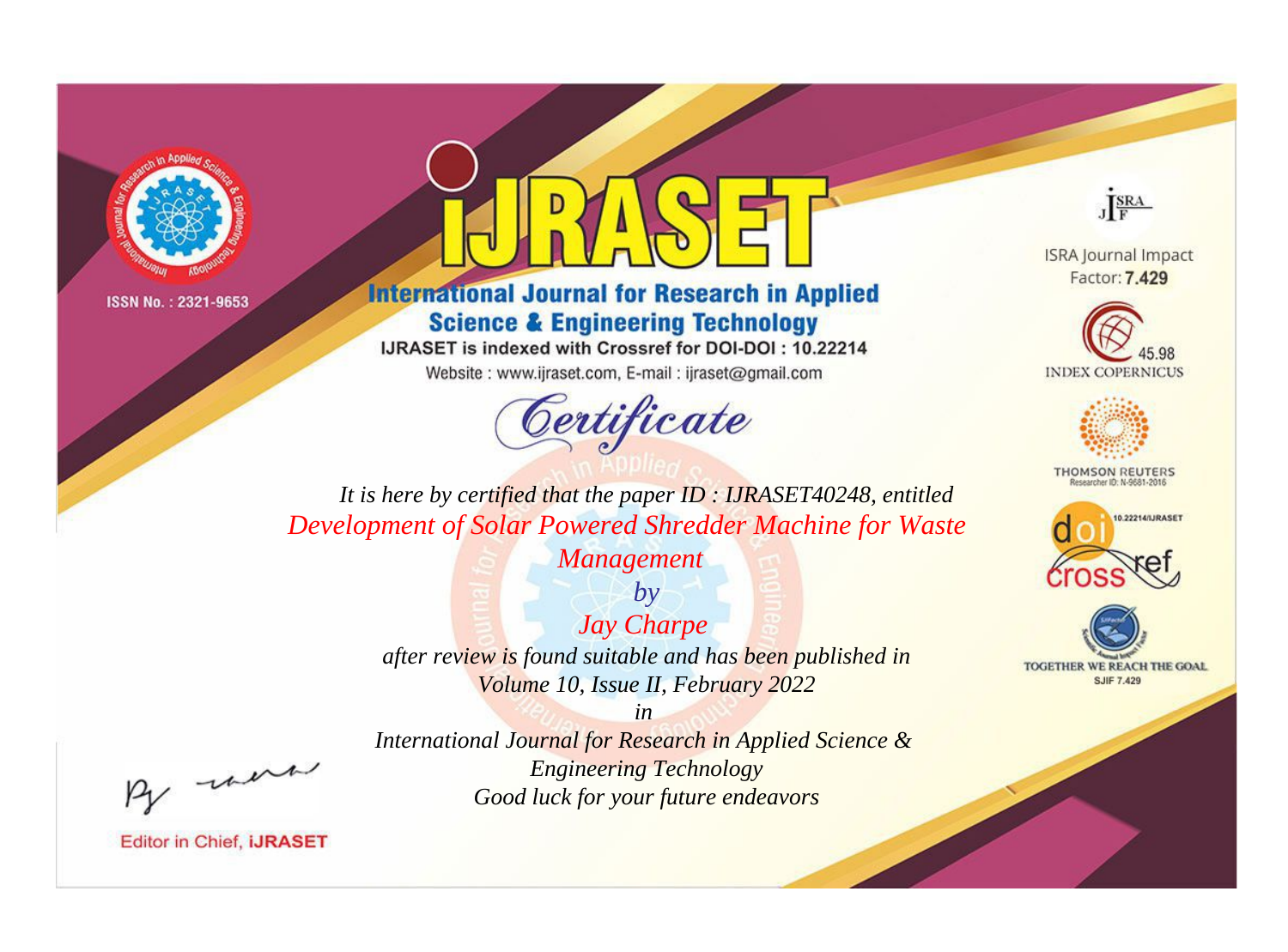



# **International Journal for Research in Applied Science & Engineering Technology**

IJRASET is indexed with Crossref for DOI-DOI: 10.22214

Website: www.ijraset.com, E-mail: ijraset@gmail.com



JERA

**ISRA Journal Impact** Factor: 7.429





**THOMSON REUTERS** 



TOGETHER WE REACH THE GOAL **SJIF 7.429** 

*It is here by certified that the paper ID : IJRASET40248, entitled Development of Solar Powered Shredder Machine for Waste* 

> *Management by*

*Jay Charpe after review is found suitable and has been published in Volume 10, Issue II, February 2022*

*in* 

, un

*International Journal for Research in Applied Science & Engineering Technology Good luck for your future endeavors*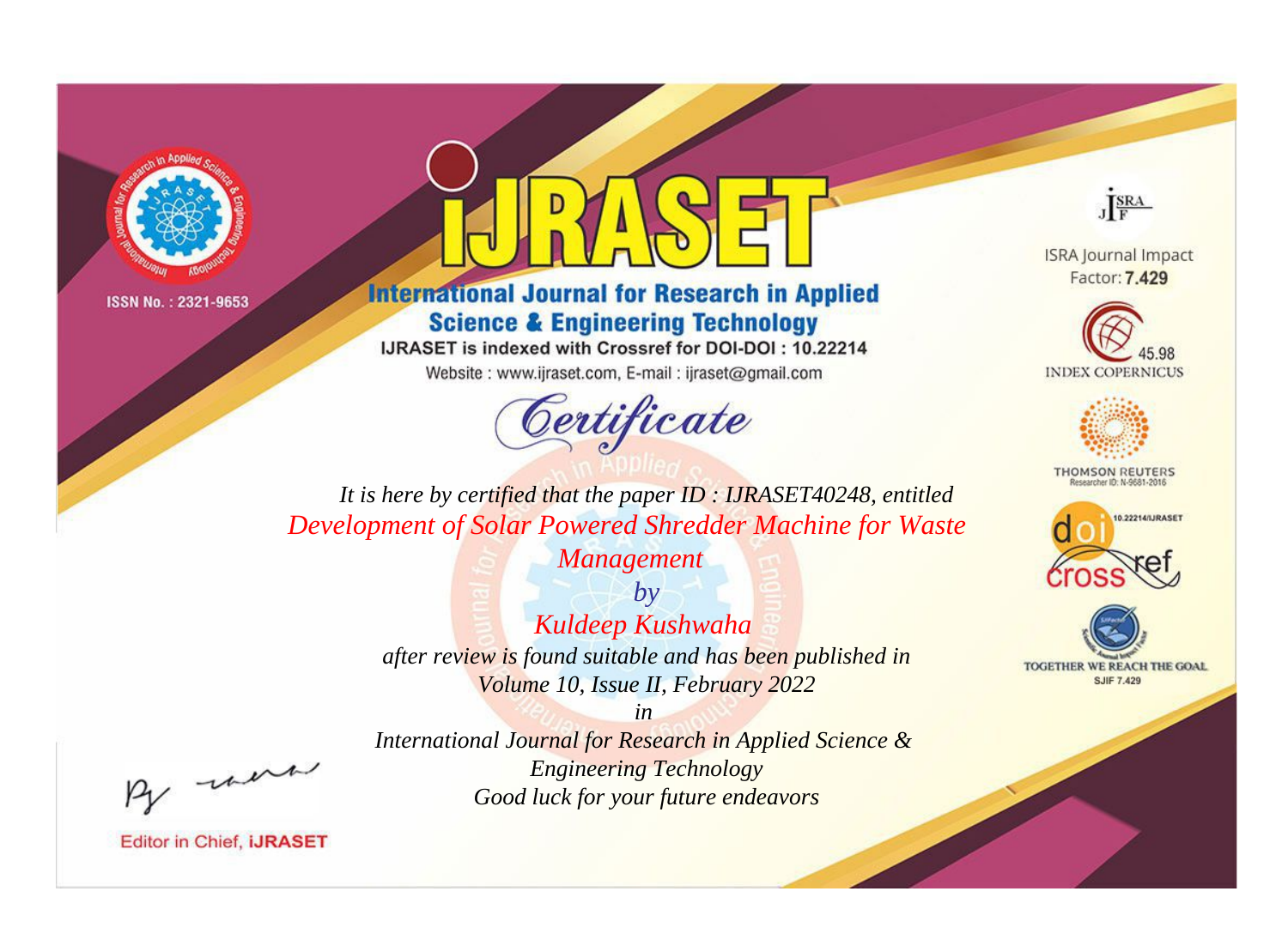



# **International Journal for Research in Applied Science & Engineering Technology**

IJRASET is indexed with Crossref for DOI-DOI: 10.22214

Website: www.ijraset.com, E-mail: ijraset@gmail.com



JERA

**ISRA Journal Impact** Factor: 7.429





**THOMSON REUTERS** 



TOGETHER WE REACH THE GOAL **SJIF 7.429** 

*It is here by certified that the paper ID : IJRASET40248, entitled Development of Solar Powered Shredder Machine for Waste* 

*Management*

*by Kuldeep Kushwaha after review is found suitable and has been published in Volume 10, Issue II, February 2022*

*in* 

, un

*International Journal for Research in Applied Science & Engineering Technology Good luck for your future endeavors*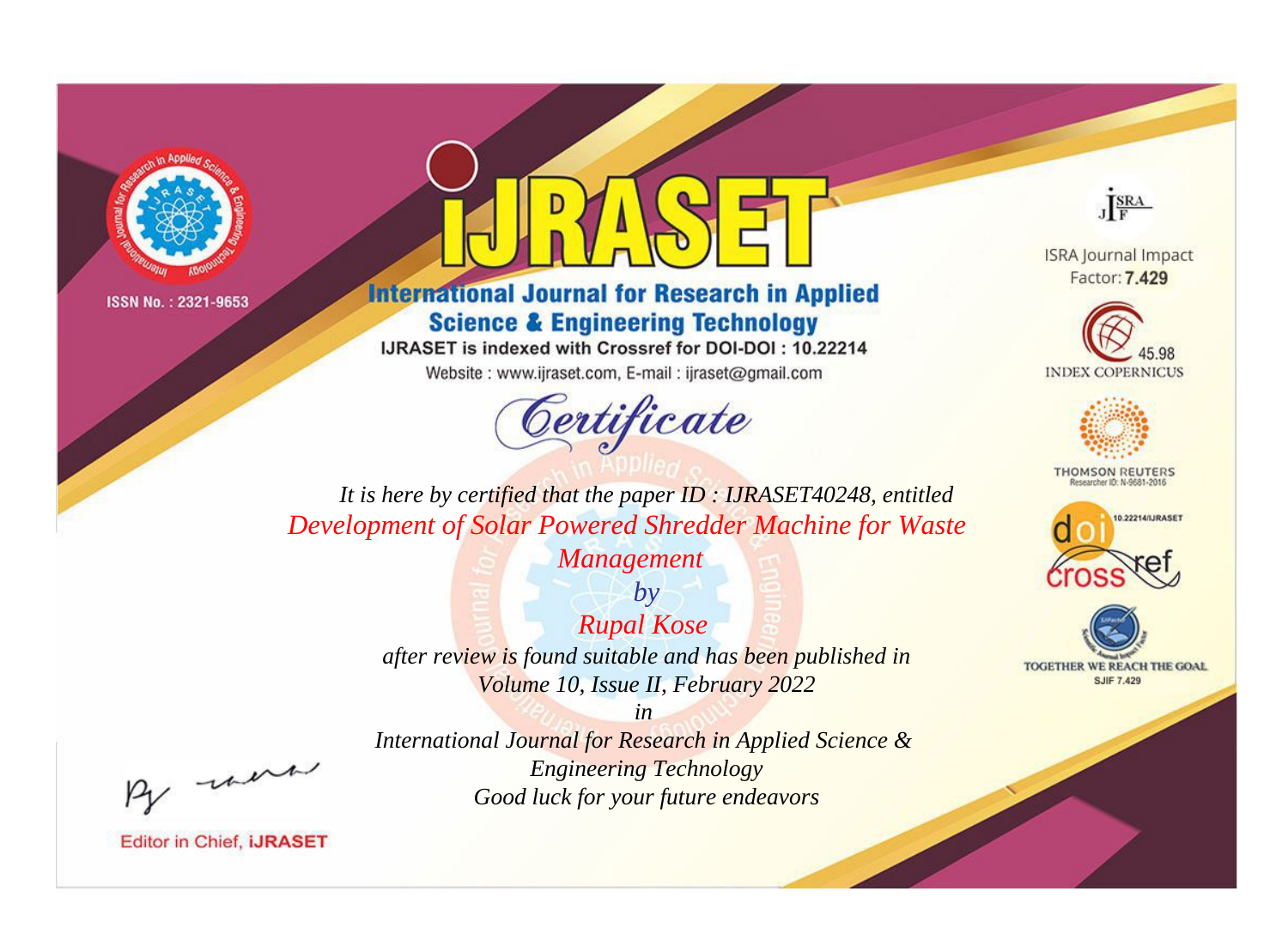



# **International Journal for Research in Applied Science & Engineering Technology**

IJRASET is indexed with Crossref for DOI-DOI: 10.22214

Website: www.ijraset.com, E-mail: ijraset@gmail.com



JERA

**ISRA Journal Impact** Factor: 7.429





**THOMSON REUTERS** 



TOGETHER WE REACH THE GOAL **SJIF 7.429** 

*It is here by certified that the paper ID : IJRASET40248, entitled Development of Solar Powered Shredder Machine for Waste* 

> *Management by*

*Rupal Kose after review is found suitable and has been published in Volume 10, Issue II, February 2022*

*in International Journal for Research in Applied Science & Engineering Technology Good luck for your future endeavors*

, un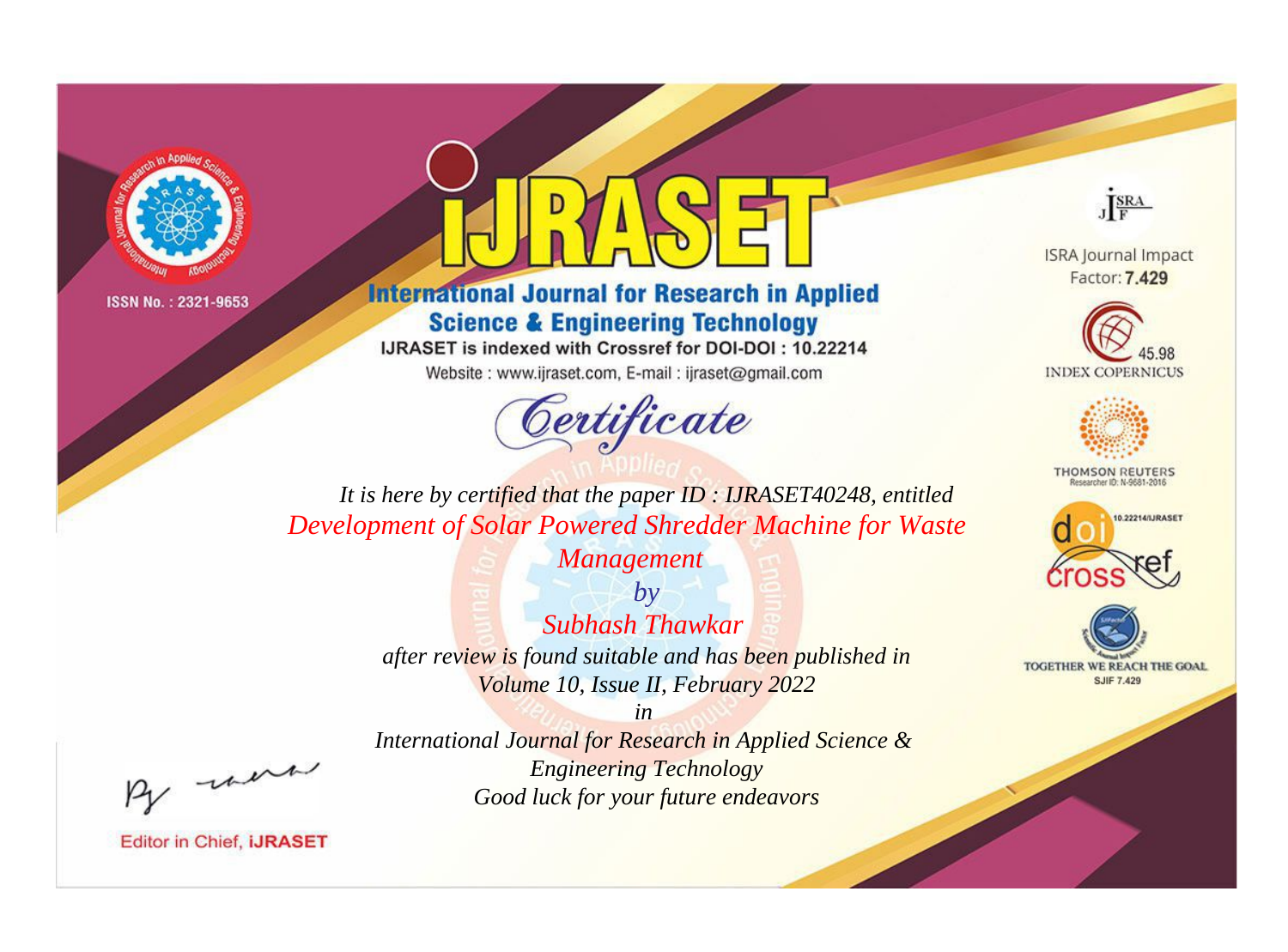



# **International Journal for Research in Applied Science & Engineering Technology**

IJRASET is indexed with Crossref for DOI-DOI: 10.22214

Website: www.ijraset.com, E-mail: ijraset@gmail.com



JERA

**ISRA Journal Impact** Factor: 7.429





**THOMSON REUTERS** 



TOGETHER WE REACH THE GOAL **SJIF 7.429** 

*It is here by certified that the paper ID : IJRASET40248, entitled Development of Solar Powered Shredder Machine for Waste* 

> *Management by Subhash Thawkar after review is found suitable and has been published in Volume 10, Issue II, February 2022*

, un

*International Journal for Research in Applied Science & Engineering Technology Good luck for your future endeavors*

*in*